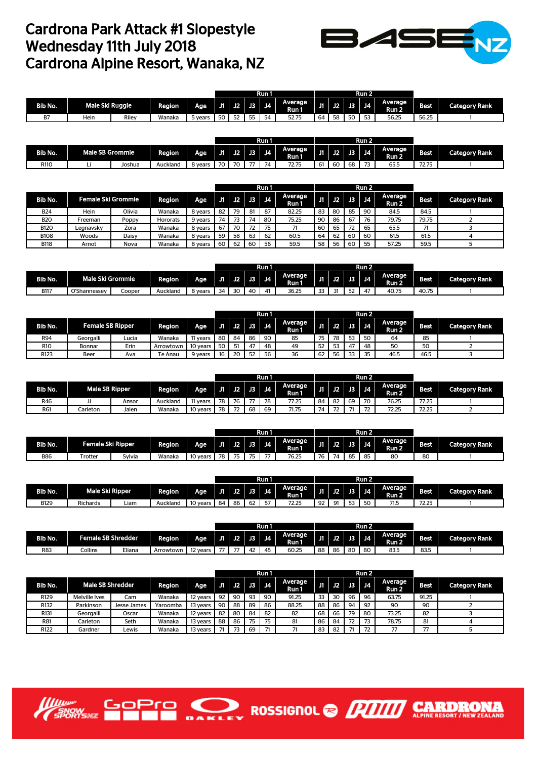## Cardrona Park Attack #1 Slopestyle Wednesday 11th July 2018 Cardrona Alpine Resort, Wanaka, NZ



|                |                 |       |        |       |    |              |    | Run 1     |                  |    |                  |               | Run 2          |                  |       |                      |
|----------------|-----------------|-------|--------|-------|----|--------------|----|-----------|------------------|----|------------------|---------------|----------------|------------------|-------|----------------------|
| <b>Bib No.</b> | Male Ski Ruggie |       | Region | Age   | Л  | $\sqrt{2}$   |    | $J3$ $J4$ | Average<br>Run I | J1 | $J2$ $\parallel$ | <b>J3</b>     | n z<br>J4.     | Average<br>Run 2 | Best  | <b>Category Rank</b> |
| DT.<br>ь,      | Hein            | Riley | Wanaka | vears | 50 | $\sim$<br>52 | 55 | 54        | 52.75            | 64 | 58               | $-\sim$<br>טכ | $-$<br><br>ں ر | 56.25            | 56.25 |                      |

|         |                 |        |          |         |    |                      |     | Run 1   |                 |     |    |      | Run 2                    |                             |                |                      |
|---------|-----------------|--------|----------|---------|----|----------------------|-----|---------|-----------------|-----|----|------|--------------------------|-----------------------------|----------------|----------------------|
| Bib No. | Male SB Grommie |        | Region   | Age     | Л  | $\overline{12}$      | U3. | J4      | Average<br>Runi | J1. | J2 | JB 7 | - 14                     | Average<br>Run <sub>2</sub> | 869.           | <b>Category Rank</b> |
| R110    |                 | Joshua | Auckland | 8 years | 70 | $\neg \wedge$<br>ىن. | --  | -<br>7Δ | 70.TE<br>72.75  | 61  | 60 | 68   | $\overline{\phantom{a}}$ | $- - -$<br>65.5             | ----<br>۔ ہے ا |                      |

|             |                    |        |                 |         |    |         |    | Run 1 |                  |    |    |    | Run 2 |                  |       |                      |
|-------------|--------------------|--------|-----------------|---------|----|---------|----|-------|------------------|----|----|----|-------|------------------|-------|----------------------|
| Bib No.     | Female Ski Grommie |        | Region          | Age     |    | J1   J2 | J3 | J4    | Average<br>Run 1 | m  | J2 | J3 | J4    | Average<br>Run 2 | Best  | <b>Category Rank</b> |
| <b>B24</b>  | Hein               | Olivia | Wanaka          | 8 years | 82 | 79      | 81 | 87    | 82.25            | 83 | 80 | 85 | 90    | 84.5             | 84.5  |                      |
| <b>B20</b>  | Freeman            | Poppy  | <b>Hororats</b> | 9 years | 74 | 73      | 74 | 80    | 75.25            | 90 | 86 | 67 | 76    | 79.75            | 79.75 |                      |
| <b>B120</b> | Leanavskv          | Zora   | Wanaka          | 8 years | 67 | 70      | 72 | 75    | 71               | 60 | 65 | 72 | 65    | 65.5             |       |                      |
| <b>B108</b> | Woods              | Daisy  | Wanaka          | 8 years | 59 | 58      | 63 | 62    | 60.5             | 64 | 62 | 60 | 60    | 61.5             | 61.5  |                      |
| <b>B118</b> | Arnot              | Nova   | Wanaka          | 8 years | 60 | 62      | 60 | 56    | 59.5             | 58 | 56 | 60 | 55    | 57.25            | 59.5  |                      |

|             |                  |        |          |         |             |              |    | Run 1   |                  |    |            |                  | Run 2          |                                    |       |                      |
|-------------|------------------|--------|----------|---------|-------------|--------------|----|---------|------------------|----|------------|------------------|----------------|------------------------------------|-------|----------------------|
| Bib No.     | Male Ski Grommie |        | Region   | Age     | <b>J1 1</b> | J2           |    | J3   J4 | Average<br>Run 1 | J1 | TEL.<br>JZ | <b>JB</b>        | J <sub>4</sub> | <b>Average</b><br>Run <sub>2</sub> | Best  | <b>Category Rank</b> |
| <b>B117</b> | O'Shannessey     | Cooper | Auckland | 8 years | 34          | $\sim$<br>30 | 40 | 41      | 36.25            | 33 | J          | $-1$<br><b>.</b> |                | 40.75                              | 40.75 |                      |

|                 |                         |       |           |          |      |    |    | Run 1     |                  |     |    |                | Run 2 |                             |             |                      |
|-----------------|-------------------------|-------|-----------|----------|------|----|----|-----------|------------------|-----|----|----------------|-------|-----------------------------|-------------|----------------------|
| Bib No.         | <b>Female SB Ripper</b> |       | Region    | Age      | - 11 | J2 |    | $J3$ $J4$ | Average<br>Run 1 | J1. | J2 | <b>J3</b>      | J4    | Average<br>Run <sub>2</sub> | <b>Best</b> | <b>Category Rank</b> |
| R94             | Georgalli               | Lucia | Wanaka    | 11 vears | 80   | 84 | 86 | 90        | 85               | 75  | 78 |                | 50    | 64                          | 85          |                      |
| R <sub>10</sub> | Bonnar                  | Erin  | Arrowtown | 10 vears | 50   | 51 | 47 | 48        | 49               | 52  | 53 | $\overline{4}$ | 48    | 50                          | 50          |                      |
| R123            | Beer                    | Ava   | Te Anau   | 9 years  | 16   | 20 | 52 | 56        | 36               | 62  | 56 | $\sim$         | 35    | 46.5                        | 46.5        |                      |

|         |                |       |          |          |           |           |    | Run 1     |                  |     |               |           | Run 2                    |                             |             |                      |
|---------|----------------|-------|----------|----------|-----------|-----------|----|-----------|------------------|-----|---------------|-----------|--------------------------|-----------------------------|-------------|----------------------|
| Bib No. | Male SB Ripper |       | Region   | Age      | <b>J1</b> | <b>J2</b> |    | $J3$ $J4$ | Average<br>Run 1 | J1. | J2            | <b>J3</b> | <b>J4</b>                | Average<br>Run <sub>2</sub> | <b>Best</b> | <b>Category Rank</b> |
| R46     | Ji             | Ansor | Auckland | 11 vears | 78        | 76        | -- | 78        | 77.25            | 84  | 82            | 69        | 70                       | 76.25                       | 77.25       |                      |
| R61     | Carleton       | Jalen | Wanaka   | 10 years | 78        | 72<br>74  | 68 | 69        | 71.75            | 74  | $\mathcal{L}$ |           | $\overline{\phantom{a}}$ | 72.25                       | 72.25       |                      |

|            |                   |        |        |                    |           |    |           | Run 1 |                  |    |    |    | Run 2   |                             |           |               |
|------------|-------------------|--------|--------|--------------------|-----------|----|-----------|-------|------------------|----|----|----|---------|-----------------------------|-----------|---------------|
| Bib No.    | Female Ski Ripper |        | Region | Age.               | <b>J1</b> | J2 | J3        | J4    | Average<br>Run 1 | J1 | J2 | J3 | J4      | Average<br>Run <sub>2</sub> | _<br>Best | Category Rank |
| <b>B86</b> | rotter            | Sylvia | Wanaka | $\sim$<br>10 years | 78        | 75 | 75<br>. . | --    | 76.25            | 76 | 74 | 85 | 85<br>ັ | 80                          | 80        |               |

|             |                        |      |          |          |    |    |      | Run 1          |                       |         |       |             | Run 2          |                          |            |                      |
|-------------|------------------------|------|----------|----------|----|----|------|----------------|-----------------------|---------|-------|-------------|----------------|--------------------------|------------|----------------------|
| Bib No.     | <b>Male Ski Ripper</b> |      | Region   | Age.     | J1 | J2 | IJЗ. | <b>J4</b>      | Average<br>_<br>Run 1 | .<br>ÆV | $-12$ | <b>J3 I</b> | J <sub>4</sub> | <b>Average</b><br>48 M.A | _<br>Best. | <b>Category Rank</b> |
| <b>B129</b> | <b>Richards</b>        | Liam | Auckland | 10 years | 84 | 86 | 62   | --<br>∽.<br>J. | ה בר<br>ـ <i>د.ے</i>  | 92      | Q1    | ro.<br>ັ    | 50<br>J        | 71 F<br>,,,,             | 72.25      |                      |

|         |                           |        |           |          |                |    |            | Run 1 |                  |    |          |             | Run 2 |                  |             |                      |
|---------|---------------------------|--------|-----------|----------|----------------|----|------------|-------|------------------|----|----------|-------------|-------|------------------|-------------|----------------------|
| Bib No. | <b>Female SB Shredder</b> |        | Region    | Age      | ЛT             | J2 | <b>AST</b> | J4    | Average<br>Run I | IJ | - J2 - I | <b>J3 J</b> | J4    | Average<br>Run 2 | <b>Best</b> | <b>Category Rank</b> |
| R83     | Collins                   | Eliana | Arrowtown | 12 years | $\overline{a}$ | -- | 42         | 45    | 60.25            | 88 | 86       | 80          | 80    | 83.5             | 83.5        |                      |

|                  |                         |             |          |          |     |                       |    | Run 1          |                  |    |     |     | Run 2 |                  |             |                      |
|------------------|-------------------------|-------------|----------|----------|-----|-----------------------|----|----------------|------------------|----|-----|-----|-------|------------------|-------------|----------------------|
| <b>Bib No.</b>   | <b>Male SB Shredder</b> |             | Region   | Age      |     | $J1$ $J2$ $\parallel$ | J3 | J <sub>4</sub> | Average<br>Run 1 |    | U2. | U3. | J4    | Average<br>Run 2 | <b>Best</b> | <b>Category Rank</b> |
| R129             | Melville Ives           | Cam         | Wanaka   | 12 years | -92 | 90                    | 93 | 90             | 91.25            | 33 | 30  | 96  | 96    | 63.75            | 91.25       |                      |
| R <sub>132</sub> | Parkinson               | Jesse James | Yaroomba | 13 years | 90  | 88                    | 89 | 86             | 88.25            | 88 | 86  | 94  | 92    | 90               | 90          |                      |
| R <sub>131</sub> | Georgalli               | Oscar       | Wanaka   | 12 years | -82 | 80                    | 84 | 82             | 82               | 68 | 66  | 79  | 80    | 73.25            | 82          |                      |
| R81              | Carleton                | Seth        | Wanaka   | 13 years | 88  | 86                    | 75 | 75             | 81               | 86 | 84  | 72  | 73    | 78.75            | 81          |                      |
| R122             | Gardner                 | Lewis       | Wanaka   | 13 years |     |                       | 69 |                |                  | 83 | 82  |     | 72    | 77               | 77          |                      |

ROSSIGNOL<sup>®</sup>

**CARDRO** 



GoPro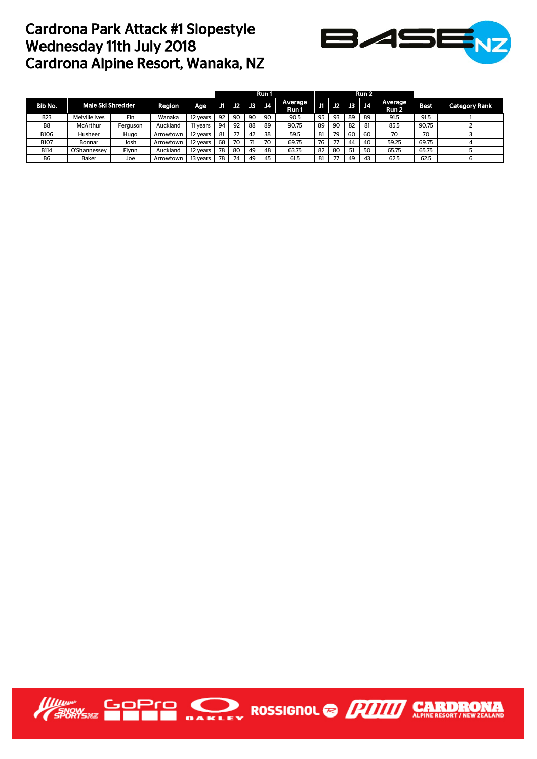## Cardrona Park Attack #1 Slopestyle Wednesday 11th July 2018 Cardrona Alpine Resort, Wanaka, NZ



|                |                          |          |           |          |     |    |    | Run 1     |                  |    |     |     | Run 2 |                  |             |                      |
|----------------|--------------------------|----------|-----------|----------|-----|----|----|-----------|------------------|----|-----|-----|-------|------------------|-------------|----------------------|
| Bib No.        | <b>Male Ski Shredder</b> |          | Region    | Age.     | U1. | J2 | J3 | <b>J4</b> | Average<br>Run 1 |    | J2. | U3. | J4    | Average<br>Run 2 | <b>Best</b> | <b>Category Rank</b> |
| <b>B23</b>     | Melville Ives            | Fin      | Wanaka    | 12 years | 92  | 90 | 90 | 90        | 90.5             | 95 | 93  | 89  | 89    | 91.5             | 91.5        |                      |
| B <sub>8</sub> | <b>McArthur</b>          | Ferauson | Auckland  | 11 years | 94  | 92 | 88 | 89        | 90.75            | 89 | 90  | 82  | 81    | 85.5             | 90.75       |                      |
| <b>B106</b>    | <b>Husheer</b>           | Hugo     | Arrowtown | 12 years | 81  |    | 42 | 38        | 59.5             | 81 | 79  | 60  | 60    | 70               | 70          |                      |
| <b>B107</b>    | Bonnar                   | Josh     | Arrowtown | 12 years | 68  | 70 | 71 | 70        | 69.75            | 76 | 77  | 44  | 40    | 59.25            | 69.75       |                      |
| <b>B114</b>    | O'Shannessey             | Flynn    | Auckland  | 12 years | 78  | 80 | 49 | 48        | 63.75            | 82 | 80  | 51  | 50    | 65.75            | 65.75       |                      |
| B <sub>6</sub> | Baker                    | Joe      | Arrowtown | 13 years | 78  | 74 | 49 | 45        | 61.5             | 81 | 77  | 49  | 43    | 62.5             | 62.5        |                      |